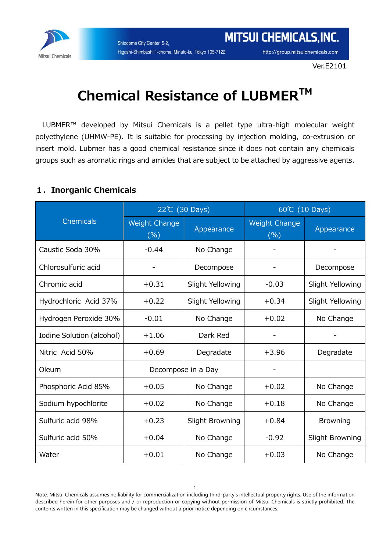

http://group.mitsuichemicals.com

## **Chemical Resistance of LUBMERTM**

LUBMER™ developed by Mitsui Chemicals is a pellet type ultra-high molecular weight polyethylene (UHMW-PE). It is suitable for processing by injection molding, co-extrusion or insert mold. Lubmer has a good chemical resistance since it does not contain any chemicals groups such as aromatic rings and amides that are subject to be attached by aggressive agents.

## **1.Inorganic Chemicals**

|                           | 22℃ (30 Days)               |                    | 60℃ (10 Days)               |                  |
|---------------------------|-----------------------------|--------------------|-----------------------------|------------------|
| <b>Chemicals</b>          | <b>Weight Change</b><br>(%) | Appearance         | <b>Weight Change</b><br>(%) | Appearance       |
| Caustic Soda 30%          | $-0.44$                     | No Change          |                             |                  |
| Chlorosulfuric acid       |                             | Decompose          |                             | Decompose        |
| Chromic acid              | $+0.31$                     | Slight Yellowing   | $-0.03$                     | Slight Yellowing |
| Hydrochloric Acid 37%     | $+0.22$                     | Slight Yellowing   | $+0.34$                     | Slight Yellowing |
| Hydrogen Peroxide 30%     | $-0.01$                     | No Change          | $+0.02$                     | No Change        |
| Iodine Solution (alcohol) | $+1.06$                     | Dark Red           |                             |                  |
| Nitric Acid 50%           | $+0.69$                     | Degradate          | $+3.96$                     | Degradate        |
| Oleum                     |                             | Decompose in a Day |                             |                  |
| Phosphoric Acid 85%       | $+0.05$                     | No Change          | $+0.02$                     | No Change        |
| Sodium hypochlorite       | $+0.02$                     | No Change          | $+0.18$                     | No Change        |
| Sulfuric acid 98%         | $+0.23$                     | Slight Browning    | $+0.84$                     | <b>Browning</b>  |
| Sulfuric acid 50%         | $+0.04$                     | No Change          | $-0.92$                     | Slight Browning  |
| Water                     | $+0.01$                     | No Change          | $+0.03$                     | No Change        |

Note: Mitsui Chemicals assumes no liability for commercialization including third-party's intellectual property rights. Use of the information described herein for other purposes and / or reproduction or copying without permission of Mitsui Chemicals is strictly prohibited. The contents written in this specification may be changed without a prior notice depending on circumstances.